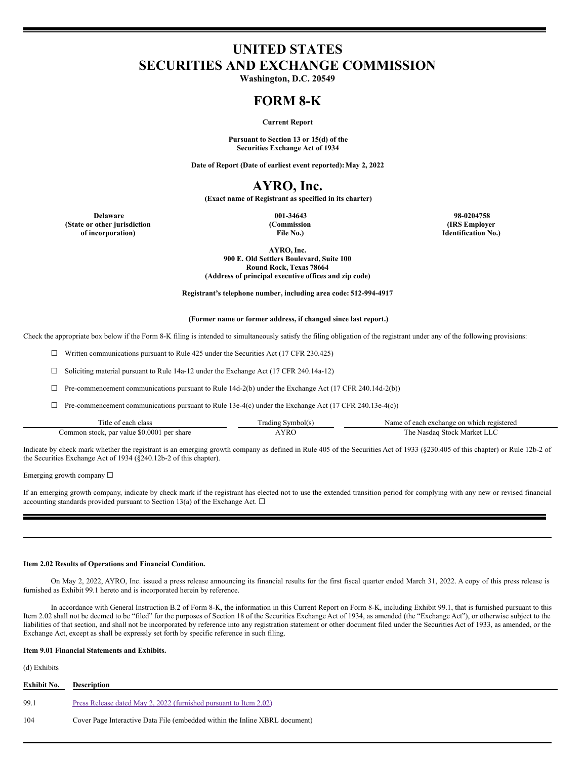# **UNITED STATES SECURITIES AND EXCHANGE COMMISSION**

**Washington, D.C. 20549**

# **FORM 8-K**

## **Current Report**

**Pursuant to Section 13 or 15(d) of the Securities Exchange Act of 1934**

**Date of Report (Date of earliest event reported):May 2, 2022**

# **AYRO, Inc.**

**(Exact name of Registrant as specified in its charter)**

**Delaware 001-34643 98-0204758 (State or other jurisdiction of incorporation)**

**(Commission File No.)**

**(IRS Employer Identification No.)**

**AYRO, Inc. 900 E. Old Settlers Boulevard, Suite 100 Round Rock, Texas 78664 (Address of principal executive offices and zip code)**

**Registrant's telephone number, including area code: 512-994-4917**

#### **(Former name or former address, if changed since last report.)**

Check the appropriate box below if the Form 8-K filing is intended to simultaneously satisfy the filing obligation of the registrant under any of the following provisions:

☐ Written communications pursuant to Rule 425 under the Securities Act (17 CFR 230.425)

☐ Soliciting material pursuant to Rule 14a-12 under the Exchange Act (17 CFR 240.14a-12)

☐ Pre-commencement communications pursuant to Rule 14d-2(b) under the Exchange Act (17 CFR 240.14d-2(b))

 $\Box$  Pre-commencement communications pursuant to Rule 13e-4(c) under the Exchange Act (17 CFR 240.13e-4(c))

| --<br>11tle of<br>class<br>each                            | -<br>Symbol(s)<br>rading | Name<br>which registered<br>each<br>a exchange<br>: on |
|------------------------------------------------------------|--------------------------|--------------------------------------------------------|
| \$0.0001<br>per<br>share<br>Common stock. r<br>. par value | <b>YRC</b>               | i he<br><b>Stock</b><br>Markei<br>Nasdag               |

Indicate by check mark whether the registrant is an emerging growth company as defined in Rule 405 of the Securities Act of 1933 (§230.405 of this chapter) or Rule 12b-2 of the Securities Exchange Act of 1934 (§240.12b-2 of this chapter).

Emerging growth company ☐

If an emerging growth company, indicate by check mark if the registrant has elected not to use the extended transition period for complying with any new or revised financial accounting standards provided pursuant to Section 13(a) of the Exchange Act.  $\Box$ 

### **Item 2.02 Results of Operations and Financial Condition.**

On May 2, 2022, AYRO, Inc. issued a press release announcing its financial results for the first fiscal quarter ended March 31, 2022. A copy of this press release is furnished as Exhibit 99.1 hereto and is incorporated herein by reference.

In accordance with General Instruction B.2 of Form 8-K, the information in this Current Report on Form 8-K, including Exhibit 99.1, that is furnished pursuant to this Item 2.02 shall not be deemed to be "filed" for the purposes of Section 18 of the Securities Exchange Act of 1934, as amended (the "Exchange Act"), or otherwise subject to the liabilities of that section, and shall not be incorporated by reference into any registration statement or other document filed under the Securities Act of 1933, as amended, or the Exchange Act, except as shall be expressly set forth by specific reference in such filing.

# **Item 9.01 Financial Statements and Exhibits.**

#### (d) Exhibits

| <b>Exhibit No.</b> | Description                                                                 |
|--------------------|-----------------------------------------------------------------------------|
| 99.1               | Press Release dated May 2, 2022 (furnished pursuant to Item 2.02)           |
| 104                | Cover Page Interactive Data File (embedded within the Inline XBRL document) |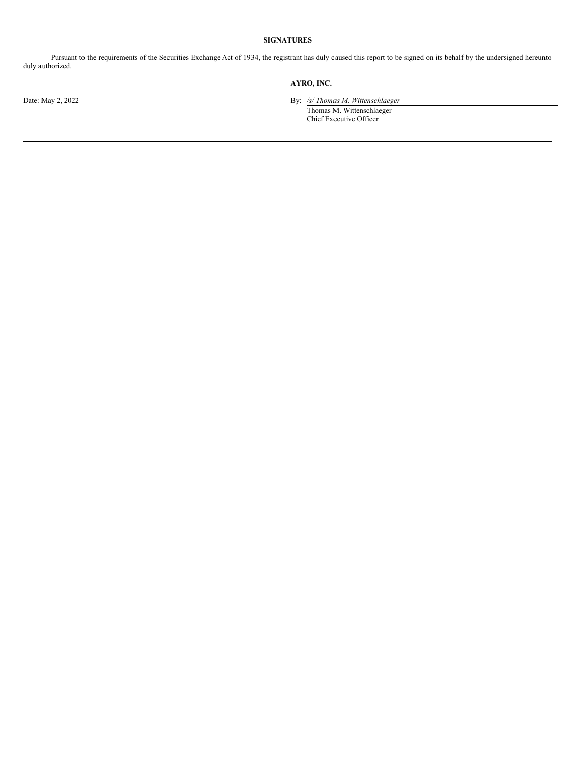# **SIGNATURES**

Pursuant to the requirements of the Securities Exchange Act of 1934, the registrant has duly caused this report to be signed on its behalf by the undersigned hereunto duly authorized.

# **AYRO, INC.**

Date: May 2, 2022 By: */s/ Thomas M. Wittenschlaeger*

Thomas M. Wittenschlaeger Chief Executive Officer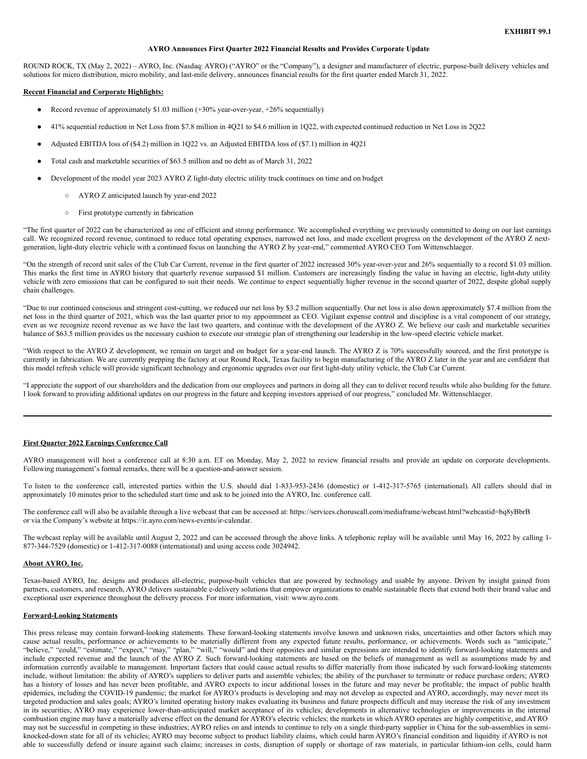#### **AYRO Announces First Quarter 2022 Financial Results and Provides Corporate Update**

ROUND ROCK, TX (May 2, 2022) – AYRO, Inc. (Nasdaq: AYRO) ("AYRO" or the "Company"), a designer and manufacturer of electric, purpose-built delivery vehicles and solutions for micro distribution, micro mobility, and last-mile delivery, announces financial results for the first quarter ended March 31, 2022.

#### **Recent Financial and Corporate Highlights:**

- Record revenue of approximately \$1.03 million (+30% year-over-year, +26% sequentially)
- 41% sequential reduction in Net Loss from \$7.8 million in 4Q21 to \$4.6 million in 1Q22, with expected continued reduction in Net Loss in 2Q22
- Adjusted EBITDA loss of (\$4.2) million in 1Q22 vs. an Adjusted EBITDA loss of (\$7.1) million in 4Q21
- Total cash and marketable securities of \$63.5 million and no debt as of March 31, 2022
- Development of the model year 2023 AYRO Z light-duty electric utility truck continues on time and on budget
	- AYRO Z anticipated launch by year-end 2022
	- First prototype currently in fabrication

"The first quarter of 2022 can be characterized as one of efficient and strong performance. We accomplished everything we previously committed to doing on our last earnings call. We recognized record revenue, continued to reduce total operating expenses, narrowed net loss, and made excellent progress on the development of the AYRO Z nextgeneration, light-duty electric vehicle with a continued focus on launching the AYRO Z by year-end," commented AYRO CEO Tom Wittenschlaeger.

"On the strength of record unit sales of the Club Car Current, revenue in the first quarter of 2022 increased 30% year-over-year and 26% sequentially to a record \$1.03 million. This marks the first time in AYRO history that quarterly revenue surpassed \$1 million. Customers are increasingly finding the value in having an electric, light-duty utility vehicle with zero emissions that can be configured to suit their needs. We continue to expect sequentially higher revenue in the second quarter of 2022, despite global supply chain challenges.

"Due to our continued conscious and stringent cost-cutting, we reduced our net loss by \$3.2 million sequentially. Our net loss is also down approximately \$7.4 million from the net loss in the third quarter of 2021, which was the last quarter prior to my appointment as CEO. Vigilant expense control and discipline is a vital component of our strategy, even as we recognize record revenue as we have the last two quarters, and continue with the development of the AYRO Z. We believe our cash and marketable securities balance of \$63.5 million provides us the necessary cushion to execute our strategic plan of strengthening our leadership in the low-speed electric vehicle market.

"With respect to the AYRO Z development, we remain on target and on budget for a year-end launch. The AYRO Z is 70% successfully sourced, and the first prototype is currently in fabrication. We are currently prepping the factory at our Round Rock, Texas facility to begin manufacturing of the AYRO Z later in the year and are confident that this model refresh vehicle will provide significant technology and ergonomic upgrades over our first light-duty utility vehicle, the Club Car Current.

"I appreciate the support of our shareholders and the dedication from our employees and partners in doing all they can to deliver record results while also building for the future. I look forward to providing additional updates on our progress in the future and keeping investors apprised of our progress," concluded Mr. Wittenschlaeger.

### **First Quarter 2022 Earnings Conference Call**

AYRO management will host a conference call at 8:30 a.m. ET on Monday, May 2, 2022 to review financial results and provide an update on corporate developments. Following management's formal remarks, there will be a question-and-answer session.

To listen to the conference call, interested parties within the U.S. should dial 1-833-953-2436 (domestic) or 1-412-317-5765 (international). All callers should dial in approximately 10 minutes prior to the scheduled start time and ask to be joined into the AYRO, Inc. conference call.

The conference call will also be available through a live webcast that can be accessed at: https://services.choruscall.com/mediaframe/webcast.html?webcastid=bq8yBbrB or via the Company's website at https://ir.ayro.com/news-events/ir-calendar.

The webcast replay will be available until August 2, 2022 and can be accessed through the above links. A telephonic replay will be available until May 16, 2022 by calling 1- 877-344-7529 (domestic) or 1-412-317-0088 (international) and using access code 3024942.

#### **About AYRO, Inc.**

Texas-based AYRO, Inc. designs and produces all-electric, purpose-built vehicles that are powered by technology and usable by anyone. Driven by insight gained from partners, customers, and research, AYRO delivers sustainable e-delivery solutions that empower organizations to enable sustainable fleets that extend both their brand value and exceptional user experience throughout the delivery process. For more information, visit: www.ayro.com.

#### **Forward-Looking Statements**

This press release may contain forward-looking statements. These forward-looking statements involve known and unknown risks, uncertainties and other factors which may cause actual results, performance or achievements to be materially different from any expected future results, performance, or achievements. Words such as "anticipate," "believe," "could," "estimate," "expect," "may," "plan," "will," "would" and their opposites and similar expressions are intended to identify forward-looking statements and include expected revenue and the launch of the AYRO Z. Such forward-looking statements are based on the beliefs of management as well as assumptions made by and information currently available to management. Important factors that could cause actual results to differ materially from those indicated by such forward-looking statements include, without limitation: the ability of AYRO's suppliers to deliver parts and assemble vehicles; the ability of the purchaser to terminate or reduce purchase orders; AYRO has a history of losses and has never been profitable, and AYRO expects to incur additional losses in the future and may never be profitable; the impact of public health epidemics, including the COVID-19 pandemic; the market for AYRO's products is developing and may not develop as expected and AYRO, accordingly, may never meet its targeted production and sales goals; AYRO's limited operating history makes evaluating its business and future prospects difficult and may increase the risk of any investment in its securities; AYRO may experience lower-than-anticipated market acceptance of its vehicles; developments in alternative technologies or improvements in the internal combustion engine may have a materially adverse effect on the demand for AYRO's electric vehicles; the markets in which AYRO operates are highly competitive, and AYRO may not be successful in competing in these industries; AYRO relies on and intends to continue to rely on a single third-party supplier in China for the sub-assemblies in semiknocked-down state for all of its vehicles; AYRO may become subject to product liability claims, which could harm AYRO's financial condition and liquidity if AYRO is not able to successfully defend or insure against such claims; increases in costs, disruption of supply or shortage of raw materials, in particular lithium-ion cells, could harm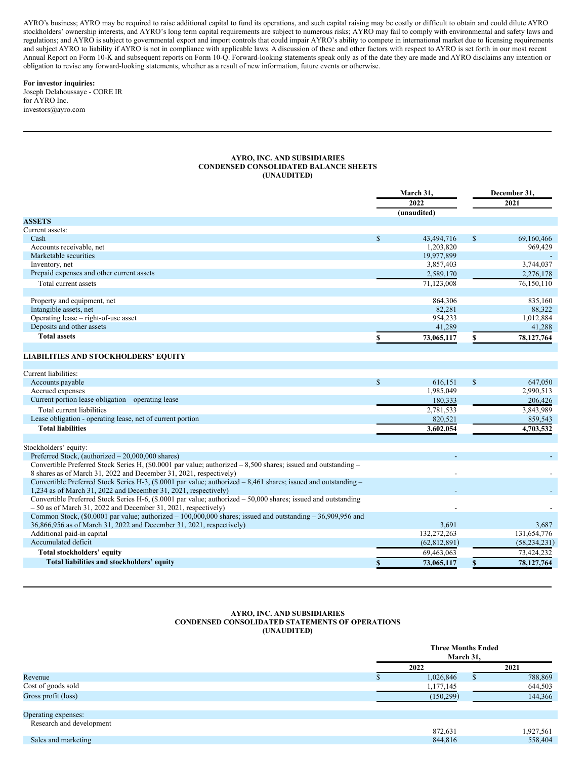<span id="page-3-0"></span>AYRO's business; AYRO may be required to raise additional capital to fund its operations, and such capital raising may be costly or difficult to obtain and could dilute AYRO stockholders' ownership interests, and AYRO's long term capital requirements are subject to numerous risks; AYRO may fail to comply with environmental and safety laws and regulations; and AYRO is subject to governmental export and import controls that could impair AYRO's ability to compete in international market due to licensing requirements and subject AYRO to liability if AYRO is not in compliance with applicable laws. A discussion of these and other factors with respect to AYRO is set forth in our most recent Annual Report on Form 10-K and subsequent reports on Form 10-Q. Forward-looking statements speak only as of the date they are made and AYRO disclaims any intention or obligation to revise any forward-looking statements, whether as a result of new information, future events or otherwise.

#### **For investor inquiries:** Joseph Delahoussaye - CORE IR

for AYRO Inc. investors@ayro.com

#### **AYRO, INC. AND SUBSIDIARIES CONDENSED CONSOLIDATED BALANCE SHEETS (UNAUDITED)**

|                                           |              | March 31,<br>2022<br>(unaudited) |     | December 31.<br>2021 |
|-------------------------------------------|--------------|----------------------------------|-----|----------------------|
| <b>ASSETS</b>                             |              |                                  |     |                      |
| Current assets:                           |              |                                  |     |                      |
| Cash                                      | $\mathbf{s}$ | 43,494,716                       | \$. | 69,160,466           |
| Accounts receivable, net                  |              | 1,203,820                        |     | 969,429              |
| Marketable securities                     |              | 19,977,899                       |     |                      |
| Inventory, net                            |              | 3,857,403                        |     | 3,744,037            |
| Prepaid expenses and other current assets |              | 2,589,170                        |     | 2,276,178            |
| Total current assets                      |              | 71,123,008                       |     | 76,150,110           |
|                                           |              |                                  |     |                      |
| Property and equipment, net               |              | 864,306                          |     | 835,160              |
| Intangible assets, net                    |              | 82,281                           |     | 88,322               |
| Operating lease – right-of-use asset      |              | 954,233                          |     | 1,012,884            |
| Deposits and other assets                 |              | 41,289                           |     | 41,288               |
| <b>Total assets</b>                       |              | 73,065,117                       |     | 78,127,764           |

## **LIABILITIES AND STOCKHOLDERS' EQUITY**

| Total liabilities and stockholders' equity                                                                           |    | 73,065,117     |              | 78,127,764     |
|----------------------------------------------------------------------------------------------------------------------|----|----------------|--------------|----------------|
| Total stockholders' equity                                                                                           |    | 69,463,063     |              | 73,424,232     |
| Accumulated deficit                                                                                                  |    | (62, 812, 891) |              | (58, 234, 231) |
| Additional paid-in capital                                                                                           |    | 132,272,263    |              | 131,654,776    |
| 36,866,956 as of March 31, 2022 and December 31, 2021, respectively)                                                 |    | 3,691          |              | 3,687          |
| Common Stock, $(\$0.0001$ par value; authorized – 100,000,000 shares; issued and outstanding – 36,909,956 and        |    |                |              |                |
| $-50$ as of March 31, 2022 and December 31, 2021, respectively)                                                      |    |                |              |                |
| Convertible Preferred Stock Series H-6, (\$.0001 par value; authorized – 50,000 shares; issued and outstanding       |    |                |              |                |
| 1,234 as of March 31, 2022 and December 31, 2021, respectively)                                                      |    |                |              |                |
| Convertible Preferred Stock Series H-3, $(\$.0001$ par value; authorized $-8,461$ shares; issued and outstanding $-$ |    |                |              |                |
| 8 shares as of March 31, 2022 and December 31, 2021, respectively)                                                   |    |                |              |                |
| Convertible Preferred Stock Series H, $(\$0.0001$ par value; authorized $-8,500$ shares; issued and outstanding $-$  |    |                |              |                |
| Preferred Stock, (authorized $-20,000,000$ shares)                                                                   |    |                |              |                |
| Stockholders' equity:                                                                                                |    |                |              |                |
|                                                                                                                      |    |                |              |                |
| <b>Total liabilities</b>                                                                                             |    | 3,602,054      |              | 4,703,532      |
| Lease obligation - operating lease, net of current portion                                                           |    | 820,521        |              | 859,543        |
| Total current liabilities                                                                                            |    | 2,781,533      |              | 3,843,989      |
| Current portion lease obligation – operating lease                                                                   |    | 180,333        |              | 206,426        |
| Accrued expenses                                                                                                     |    | 1,985,049      |              | 2,990,513      |
| Accounts payable                                                                                                     | S. | 616,151        | $\mathbb{S}$ | 647,050        |
| Current liabilities:                                                                                                 |    |                |              |                |

#### **AYRO, INC. AND SUBSIDIARIES CONDENSED CONSOLIDATED STATEMENTS OF OPERATIONS (UNAUDITED)**

| 2021<br>2022                     |           |
|----------------------------------|-----------|
| 1,026,846<br>Revenue<br>D.       | 788,869   |
| Cost of goods sold<br>1,177,145  | 644,503   |
| Gross profit (loss)<br>(150,299) | 144,366   |
|                                  |           |
| Operating expenses:              |           |
| Research and development         |           |
| 872,631                          | 1,927,561 |
| Sales and marketing<br>844,816   | 558,404   |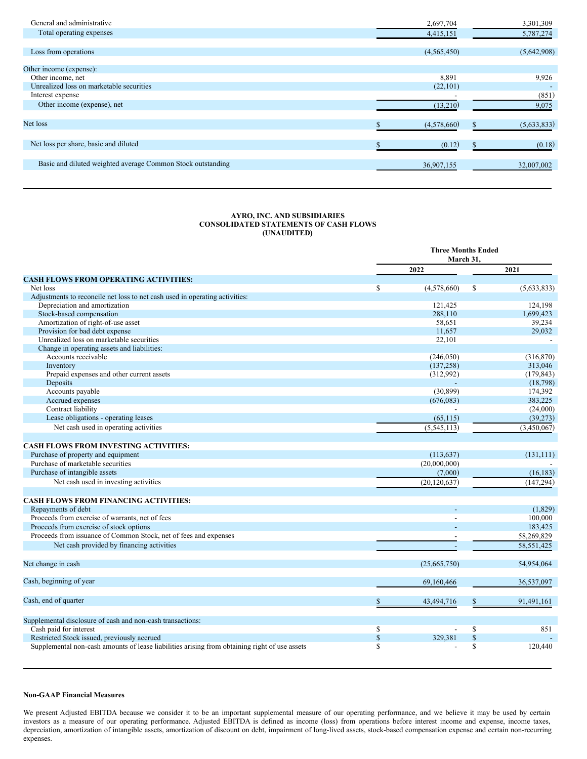| General and administrative                                  | 2,697,704   | 3,301,309   |
|-------------------------------------------------------------|-------------|-------------|
| Total operating expenses                                    | 4,415,151   | 5,787,274   |
|                                                             |             |             |
| Loss from operations                                        | (4,565,450) | (5,642,908) |
| Other income (expense):                                     |             |             |
| Other income, net                                           | 8,891       | 9.926       |
| Unrealized loss on marketable securities                    | (22, 101)   |             |
| Interest expense                                            |             | (851)       |
| Other income (expense), net                                 | (13,210)    | 9,075       |
| Net loss                                                    | (4,578,660) | (5,633,833) |
| Net loss per share, basic and diluted                       | (0.12)      | (0.18)      |
|                                                             |             |             |
| Basic and diluted weighted average Common Stock outstanding | 36,907,155  | 32,007,002  |

## **AYRO, INC. AND SUBSIDIARIES CONSOLIDATED STATEMENTS OF CASH FLOWS (UNAUDITED)**

|                                                                                               | <b>Three Months Ended</b><br>March 31, |                |              |              |
|-----------------------------------------------------------------------------------------------|----------------------------------------|----------------|--------------|--------------|
|                                                                                               |                                        | 2022           |              | 2021         |
| <b>CASH FLOWS FROM OPERATING ACTIVITIES:</b>                                                  |                                        |                |              |              |
| Net loss                                                                                      | S                                      | (4,578,660)    | $\mathbb{S}$ | (5,633,833)  |
| Adjustments to reconcile net loss to net cash used in operating activities:                   |                                        |                |              |              |
| Depreciation and amortization                                                                 |                                        | 121,425        |              | 124,198      |
| Stock-based compensation                                                                      |                                        | 288,110        |              | 1,699,423    |
| Amortization of right-of-use asset                                                            |                                        | 58,651         |              | 39,234       |
| Provision for bad debt expense                                                                |                                        | 11,657         |              | 29,032       |
| Unrealized loss on marketable securities                                                      |                                        | 22,101         |              |              |
| Change in operating assets and liabilities:                                                   |                                        |                |              |              |
| Accounts receivable                                                                           |                                        | (246, 050)     |              | (316, 870)   |
| Inventory                                                                                     |                                        | (137, 258)     |              | 313,046      |
| Prepaid expenses and other current assets                                                     |                                        | (312,992)      |              | (179, 843)   |
| Deposits                                                                                      |                                        |                |              | (18, 798)    |
| Accounts payable                                                                              |                                        | (30, 899)      |              | 174,392      |
| Accrued expenses                                                                              |                                        | (676,083)      |              | 383,225      |
| Contract liability                                                                            |                                        |                |              | (24,000)     |
| Lease obligations - operating leases                                                          |                                        | (65, 115)      |              | (39, 273)    |
| Net cash used in operating activities                                                         |                                        | (5,545,113)    |              | (3,450,067)  |
|                                                                                               |                                        |                |              |              |
| <b>CASH FLOWS FROM INVESTING ACTIVITIES:</b>                                                  |                                        |                |              |              |
| Purchase of property and equipment                                                            |                                        | (113, 637)     |              | (131, 111)   |
| Purchase of marketable securities                                                             |                                        | (20,000,000)   |              |              |
| Purchase of intangible assets                                                                 |                                        | (7,000)        |              | (16, 183)    |
| Net cash used in investing activities                                                         |                                        | (20, 120, 637) |              | (147, 294)   |
|                                                                                               |                                        |                |              |              |
| <b>CASH FLOWS FROM FINANCING ACTIVITIES:</b>                                                  |                                        |                |              |              |
| Repayments of debt                                                                            |                                        |                |              | (1,829)      |
| Proceeds from exercise of warrants, net of fees                                               |                                        |                |              | 100,000      |
| Proceeds from exercise of stock options                                                       |                                        |                |              | 183,425      |
| Proceeds from issuance of Common Stock, net of fees and expenses                              |                                        |                |              | 58,269,829   |
| Net cash provided by financing activities                                                     |                                        |                |              | 58, 551, 425 |
|                                                                                               |                                        |                |              |              |
| Net change in cash                                                                            |                                        | (25,665,750)   |              | 54,954,064   |
| Cash, beginning of year                                                                       |                                        | 69,160,466     |              | 36,537,097   |
|                                                                                               |                                        |                |              |              |
| Cash, end of quarter                                                                          |                                        | 43,494,716     |              | 91,491,161   |
| Supplemental disclosure of cash and non-cash transactions:                                    |                                        |                |              |              |
| Cash paid for interest                                                                        | \$                                     |                | \$           | 851          |
| Restricted Stock issued, previously accrued                                                   | \$                                     | 329,381        | \$           |              |
| Supplemental non-cash amounts of lease liabilities arising from obtaining right of use assets | \$                                     |                | $\mathbf S$  | 120,440      |
|                                                                                               |                                        |                |              |              |

# **Non-GAAP Financial Measures**

We present Adjusted EBITDA because we consider it to be an important supplemental measure of our operating performance, and we believe it may be used by certain investors as a measure of our operating performance. Adjusted EBITDA is defined as income (loss) from operations before interest income and expense, income taxes, depreciation, amortization of intangible assets, amortization of discount on debt, impairment of long-lived assets, stock-based compensation expense and certain non-recurring expenses.